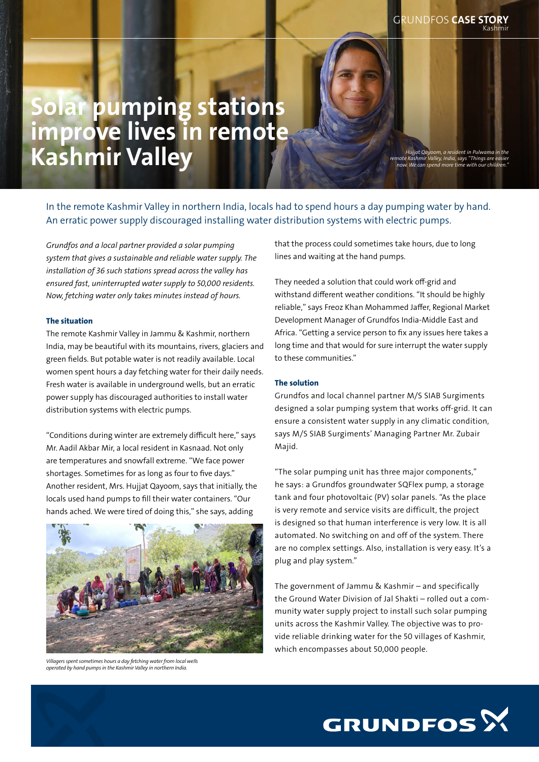# Solar pumping stations improve lives in remote Kashmir Valley

*Hujjat Qayoom, a resident in Pulwama in the remote Kashmir Valley, India, says "Things are easier now. We can spend more time with our children."*

In the remote Kashmir Valley in northern India, locals had to spend hours a day pumping water by hand. An erratic power supply discouraged installing water distribution systems with electric pumps.

*Grundfos and a local partner provided a solar pumping system that gives a sustainable and reliable water supply. The installation of 36 such stations spread across the valley has ensured fast, uninterrupted water supply to 50,000 residents. Now, fetching water only takes minutes instead of hours.* 

#### The situation

The remote Kashmir Valley in Jammu & Kashmir, northern India, may be beautiful with its mountains, rivers, glaciers and green fields. But potable water is not readily available. Local women spent hours a day fetching water for their daily needs. Fresh water is available in underground wells, but an erratic power supply has discouraged authorities to install water distribution systems with electric pumps.

"Conditions during winter are extremely difficult here," says Mr. Aadil Akbar Mir, a local resident in Kasnaad. Not only are temperatures and snowfall extreme. "We face power shortages. Sometimes for as long as four to five days." Another resident, Mrs. Hujjat Qayoom, says that initially, the locals used hand pumps to fill their water containers. "Our hands ached. We were tired of doing this," she says, adding



*Villagers spent sometimes hours a day fetching water from local wells operated by hand pumps in the Kashmir Valley in northern India.*

that the process could sometimes take hours, due to long lines and waiting at the hand pumps.

They needed a solution that could work off-grid and withstand different weather conditions. "It should be highly reliable," says Freoz Khan Mohammed Jaffer, Regional Market Development Manager of Grundfos India-Middle East and Africa. "Getting a service person to fix any issues here takes a long time and that would for sure interrupt the water supply to these communities."

## The solution

Grundfos and local channel partner M/S SIAB Surgiments designed a solar pumping system that works off-grid. It can ensure a consistent water supply in any climatic condition, says M/S SIAB Surgiments' Managing Partner Mr. Zubair Majid.

"The solar pumping unit has three major components," he says: a Grundfos groundwater SQFlex pump, a storage tank and four photovoltaic (PV) solar panels. "As the place is very remote and service visits are difficult, the project is designed so that human interference is very low. It is all automated. No switching on and off of the system. There are no complex settings. Also, installation is very easy. It's a plug and play system."

The government of Jammu & Kashmir – and specifically the Ground Water Division of Jal Shakti – rolled out a community water supply project to install such solar pumping units across the Kashmir Valley. The objective was to provide reliable drinking water for the 50 villages of Kashmir, which encompasses about 50,000 people.